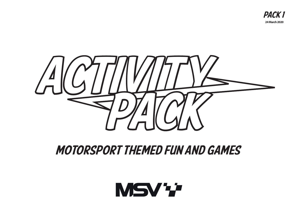



## MOTORSPORT THEMED FUN AND GAMES

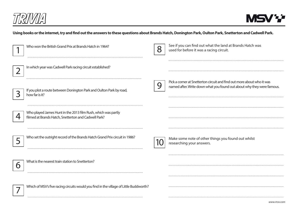

..........................

## **Using books or the internet, try and find out the answers to these questions about Brands Hatch, Donington Park, Oulton Park, Snetterton and Cadwell Park.**

| Who won the British Grand Prix at Brands Hatch in 1964?                                                               | 8 | See if you can find out what the land at Brands Hatch was<br>used for before it was a racing circuit.                                            |
|-----------------------------------------------------------------------------------------------------------------------|---|--------------------------------------------------------------------------------------------------------------------------------------------------|
| In which year was Cadwell Park racing circuit established?                                                            |   |                                                                                                                                                  |
| If you plot a route between Donington Park and Oulton Park by road,<br>how far is it?                                 | 9 | Pick a corner at Snetterton circuit and find out more about who it was<br>named after. Write down what you found out about why they were famous. |
| Who played James Hunt in the 2013 film Rush, which was partly<br>filmed at Brands Hatch, Snetterton and Cadwell Park? |   |                                                                                                                                                  |
| Who set the outright record of the Brands Hatch Grand Prix circuit in 1986?                                           |   | Make some note of other things you found out whilst<br>researching your answers.                                                                 |
| What is the nearest train station to Snetterton?                                                                      |   |                                                                                                                                                  |
| Which of MSV's five racing circuits would you find in the village of Little Buddworth?                                |   |                                                                                                                                                  |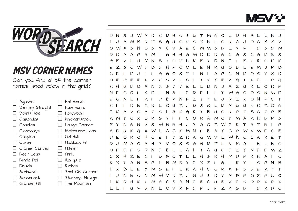



## MSV CORNER NAMES

Can you find all of the corner names listed below in the grid?

|        | Agostini                | Hall Bends        |
|--------|-------------------------|-------------------|
|        | $\Box$ Bentley Straight | Hawthorns         |
|        | Bomb Hole               | Hollywood         |
|        | $\Box$ Cascades         | Knickerbrook      |
|        | $\Box$ Charlies         | Lodge Corner      |
|        | $\Box$ Clearways        | Melbourne Loop    |
|        | $\Box$ Coppice          | Old Hall          |
|        | Coram                   | Paddock Hill      |
|        | Craner Curves           | Palmer            |
|        | Deer Leap               | Park              |
| $\Box$ | Dingle Dell             | Redgate           |
|        | Druids                  | Riches            |
|        | Goddards                | Shell Oils Corner |
|        | Gooseneck               | Starkeys Bridge   |
|        | Graham Hill             | The Mountain      |

 $D$  N  $\leq$  $\mathcal{D}$ R  $\mathsf{D}$  $\mathcal{C}$  $\mathcal{S}$  $\epsilon$  $\tau$ M  $\epsilon$  $\Omega$  $\cdot$ B  $\mathcal{S}$  $\sim$ G  $\circ$  $\mathsf{u}$  $\mathsf{x}$  $\mathsf{H}$  $\Omega$  $\mathbf{I}$  $\Omega$  $\Omega$  $\checkmark$ -11  $\leq$ E  $\mathcal{C}$ M  $\leq$  $\Omega$  $\mathsf{M}$  $\circ$ ς  $\vee$  $\mathbf{A}$  $\mathsf{M}$ D  $\leq$ M  $\mathsf{D}$ K  $H$ A W R R  $\mathcal{S}$ F G  $\mathsf{H}$ K G D ς B B B K  $\epsilon$  $\vee$ Н M  $\mathsf{N}$  $\tau$  $\circ$ F  $H$ Κ  $\mathsf{Y}$  $\mathsf{D}$ N E  $\circ$ 匕 E  $\mathbb{Z}$ B  $\mathcal{S}$  $\mathsf{D}$ B  $H_{\rm}$  $\mathsf{P}$ Ε R B C W U  $\circ$  $\circ$ N U  $\circ$ Ε M  $\mathsf{P}$ N  $\mathcal{C}$ E  $\mathsf{D}$ A G  $\circ$  $\mathcal{S}$  $\tau$ A  $\mathsf{P}$ C N  $\mathsf{D}$  $\Omega$  $\leq$  $\mathsf{x}$ K IJ Y  $\circ$ R G R R  $\kappa$  $Z$  $\mathsf{F}$  $\mathcal{S}$  $Z$  $\Omega$  $\tau$  $\mathbf{Y}$ R  $\mathbb{Z}$ G Κ E P G  $\mathsf{X}$  $\tau$ R  $H$  $\mathsf{D}$ Β  $\mathsf{S}$ B N A  $\mathbb{Z}$ R  $\mathsf{P}$ U A N  $\times$  $\mathsf{Y}$  $\circ$  $\mathsf{N}$ E E C  $\Omega$  $\mathcal{S}$  $\mathsf{D}$ N G Е  $\mathsf{D}$  $\tau$ W G  $\circ$  $\circ$  $\mathcal{S}$ N W D E  $\Omega$ R  $\mathsf{D}$ Β  $\overline{z}$ E M  $\mathsf{N}$  $\tau$  $\times$ F Z x  $\circ$ R R Ε Β B ς G Z  $\circ$  $\overline{z}$ D P G U  $\Omega$ ∩ Ε R B K  $\mathsf{A}$  $\mathsf S$ B B  $\vee$  $\circ$  $\overline{z}$ G Κ G  $\tau$ IJ  $\Omega$ P 7  $\circ$ 7  $\mathsf{P}$ R M R  $\mathcal{S}$ C  $\circ$ R  $\mathsf{A}$ M O R  $\leq$  $\tau$  $\Omega$  $\mathsf{x}$ C Y  $\tau$ W -H D  $\mathsf{P}$ P  $\mathbf{\hat{y}}$  $\mathsf{N}$ G  $\mathsf{N}$  $\vee$  $\mathsf S$ W  $H$ E H J  $\mathsf{Y}$ A  $\circ$  $\mathsf{Z}$ W  $\overline{z}$ K P B  $\mathsf{k}$ M  $\mathbf{y}$  $\mathsf{P}$ R U G  $\boldsymbol{\mathsf{x}}$  $\mathsf{A}$  $\mathcal C$ K  $\mathsf{N}$  $\mathsf{A}$  $\mathcal{C}$  $\mathsf{A}$  $\mathsf{D}$ W W W F Ε R Z R  $\mathsf{A}$  $\mathsf D$  $\circ$  $\circ$ G Κ  $\tau$ H Ε Y W  $\vee$ W  $\Omega$ R Ε  $\mathsf{D}$ J M  $\mathsf{A}$  $\circ$  $\mathcal{S}$  $\mathsf{S}$ A 一 R M C  $\circ$ Н D  $\circ$  $\mathcal{D}$ E  $\mathcal{D}$  $\mathcal{S}$  $\overline{u}$  $\circ$ E  $\mathbb{Z}$ N E Ε  $\mathbb{Z}$ D  $H$  $\mathsf T$ W  $\mathcal C$ Β Н  $\mathsf S$ R  $\mathsf{x}$  $H$  $\mathbb{Z}$ Ε G ㄷ  $\mathsf{H}$ M D  $\mathcal{D}$ C K X Β  $\mathbf{I}$ Β  $\mathsf{A}$ Β P Ε X Z R  $\tau$ N M R  $\mathsf{Y}$ G  $\mathsf S$ P N  $H$  $\mathcal{C}$ G R  $H$ B A  $\mathsf{x}$ E  $\mathsf{Y}$ M  $\mathcal{S}$ Ε R A 匕  $\mathsf S$ Ε R  $\tau$ U  $\vee$  $\mathcal{S}$  $\mathsf{Y}$  $\mathcal{C}$ G M W RZJ  $\mathsf Q$ Κ J. N E U P 匕  $\mathsf{P}$  $\Omega$  $\mathsf{Z}$  $\mathsf{P}$  $\circ$  $\mathbf{I}$ K  $\mathsf{D}$  $\mathsf{H}$ Κ M  $\mathsf{A}$  $\mathcal{C}$ R A N E R  $\mathcal C$ U  $\Omega$  $\mathsf D$ D  $\mathsf{X}$ L  $\tau$ R S X R u F u **N** O V X F U  $\mathsf{P}$ J J  $\mathsf{P}$ Ζ **X**  $\leq$ D u D  $\mathcal{C}$  $\mathbf{L}$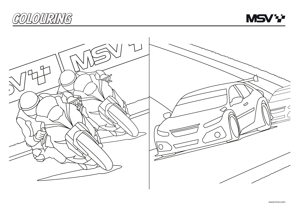



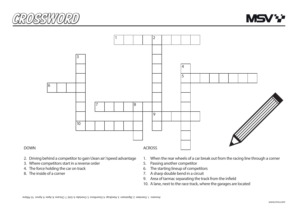





## DOWN

- 2. Driving behind a competitor to gain 'clean air'/speed advantage
- 3. Where competitors start in a reverse order  $3. \text{ VVHEI}$
- 4. The force holding the car on track  $4.7<sub>1.1</sub>$ 6. The starting lineup of competitors
	- 8. The inside of a corner
- ain 'clean air'/speed advantage 1. When the rear wheels of a car break out from the racing line through a corner
	- 5. Passing another competitor
	- 6. The starting lineup of competitors
	- 7. A sharp double bend in a circuit
		- 9. Area of tarmac separating the track from the infield
		- 10. A lane, next to the race track, where the garages are located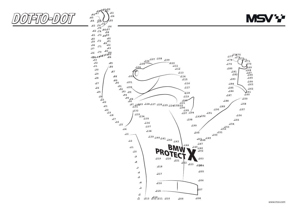![](_page_5_Picture_0.jpeg)

![](_page_5_Picture_1.jpeg)

**.1 .2**

**.213 .212.211 .210 .209 .208 .214**

**.215**